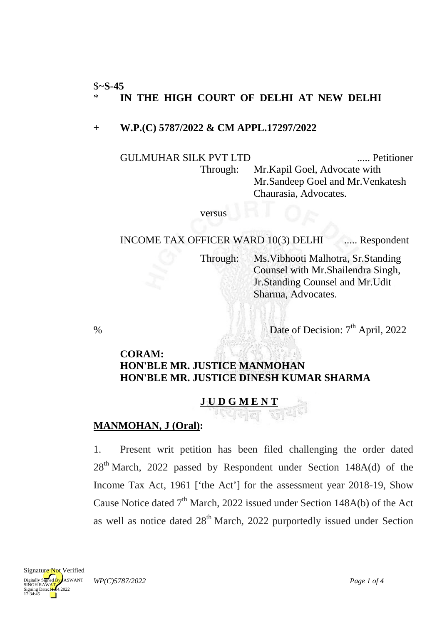#### \$~**S-45** \* **IN THE HIGH COURT OF DELHI AT NEW DELHI**

#### + **W.P.(C) 5787/2022 & CM APPL.17297/2022**

GULMUHAR SILK PVT LTD ..... Petitioner Through: Mr.Kapil Goel, Advocate with Mr.Sandeep Goel and Mr.Venkatesh Chaurasia, Advocates.

#### versus

INCOME TAX OFFICER WARD 10(3) DELHI ..... Respondent

Through: Ms.Vibhooti Malhotra, Sr.Standing Counsel with Mr.Shailendra Singh, Jr.Standing Counsel and Mr.Udit Sharma, Advocates.

% Date of Decision:  $7<sup>th</sup>$  April, 2022

#### **CORAM: HON'BLE MR. JUSTICE MANMOHAN HON'BLE MR. JUSTICE DINESH KUMAR SHARMA**

## **J U D G M E N T**

### **MANMOHAN, J (Oral) :**

1. Present writ petition has been filed challenging the order dated 28<sup>th</sup> March, 2022 passed by Respondent under Section 148A(d) of the Income Tax Act, 1961 ['the Act'] for the assessment year 2018-19, Show Cause Notice dated  $7<sup>th</sup>$  March, 2022 issued under Section 148A(b) of the Act as well as notice dated 28<sup>th</sup> March, 2022 purportedly issued under Section

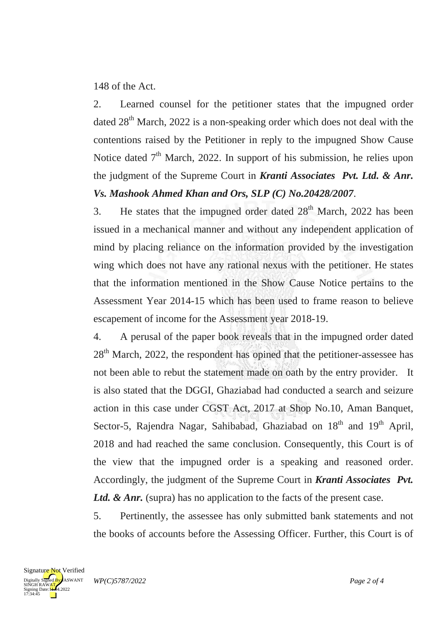148 of the Act.

2. Learned counsel for the petitioner states that the impugned order dated  $28<sup>th</sup>$  March, 2022 is a non-speaking order which does not deal with the contentions raised by the Petitioner in reply to the impugned Show Cause Notice dated  $7<sup>th</sup>$  March, 2022. In support of his submission, he relies upon the judgment of the Supreme Court in *Kranti Associates Pvt. Ltd. & Anr. Vs. Mashook Ahmed Khan and Ors, SLP (C) No.20428/2007*.

3. He states that the impugned order dated  $28<sup>th</sup>$  March, 2022 has been issued in a mechanical manner and without any independent application of mind by placing reliance on the information provided by the investigation wing which does not have any rational nexus with the petitioner. He states that the information mentioned in the Show Cause Notice pertains to the Assessment Year 2014-15 which has been used to frame reason to believe escapement of income for the Assessment year 2018-19.

4. A perusal of the paper book reveals that in the impugned order dated 28<sup>th</sup> March, 2022, the respondent has opined that the petitioner-assessee has not been able to rebut the statement made on oath by the entry provider. It is also stated that the DGGI, Ghaziabad had conducted a search and seizure action in this case under CGST Act, 2017 at Shop No.10, Aman Banquet, Sector-5, Rajendra Nagar, Sahibabad, Ghaziabad on 18<sup>th</sup> and 19<sup>th</sup> April, 2018 and had reached the same conclusion. Consequently, this Court is of the view that the impugned order is a speaking and reasoned order. Accordingly, the judgment of the Supreme Court in *Kranti Associates Pvt.*  Ltd. & Anr. (supra) has no application to the facts of the present case.

5. Pertinently, the assessee has only submitted bank statements and not the books of accounts before the Assessing Officer. Further, this Court is of

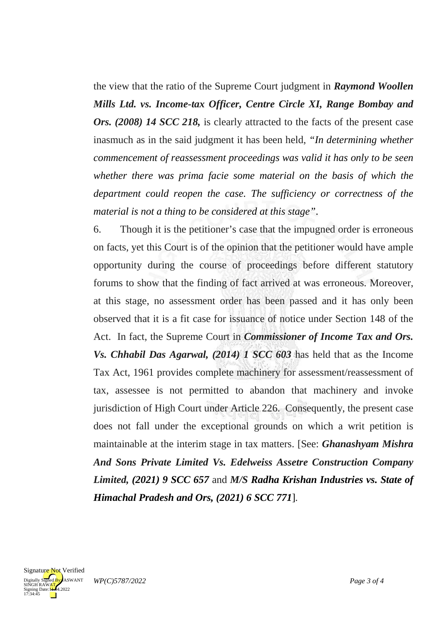the view that the ratio of the Supreme Court judgment in *Raymond Woollen Mills Ltd. vs. Income-tax Officer, Centre Circle XI, Range Bombay and Ors.* (2008) 14 SCC 218, is clearly attracted to the facts of the present case inasmuch as in the said judgment it has been held, *"In determining whether commencement of reassessment proceedings was valid it has only to be seen whether there was prima facie some material on the basis of which the department could reopen the case. The sufficiency or correctness of the material is not a thing to be considered at this stage"*.

6. Though it is the petitioner's case that the impugned order is erroneous on facts, yet this Court is of the opinion that the petitioner would have ample opportunity during the course of proceedings before different statutory forums to show that the finding of fact arrived at was erroneous. Moreover, at this stage, no assessment order has been passed and it has only been observed that it is a fit case for issuance of notice under Section 148 of the Act. In fact, the Supreme Court in *Commissioner of Income Tax and Ors. Vs. Chhabil Das Agarwal, (2014) 1 SCC 603* has held that as the Income Tax Act, 1961 provides complete machinery for assessment/reassessment of tax, assessee is not permitted to abandon that machinery and invoke jurisdiction of High Court under Article 226. Consequently, the present case does not fall under the exceptional grounds on which a writ petition is maintainable at the interim stage in tax matters. [See: *Ghanashyam Mishra And Sons Private Limited Vs. Edelweiss Assetre Construction Company Limited, (2021) 9 SCC 657* and *M/S Radha Krishan Industries vs. State of Himachal Pradesh and Ors, (2021) 6 SCC 771*]*.*